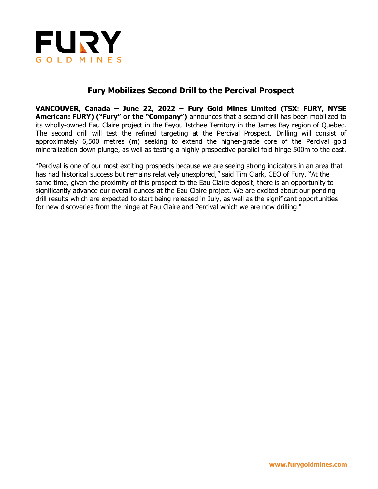

# **Fury Mobilizes Second Drill to the Percival Prospect**

**VANCOUVER, Canada – June 22, 2022 – Fury Gold Mines Limited (TSX: FURY, NYSE American: FURY) ("Fury" or the "Company")** announces that a second drill has been mobilized to its wholly-owned Eau Claire project in the Eeyou Istchee Territory in the James Bay region of Quebec. The second drill will test the refined targeting at the Percival Prospect. Drilling will consist of approximately 6,500 metres (m) seeking to extend the higher-grade core of the Percival gold mineralization down plunge, as well as testing a highly prospective parallel fold hinge 500m to the east.

"Percival is one of our most exciting prospects because we are seeing strong indicators in an area that has had historical success but remains relatively unexplored," said Tim Clark, CEO of Fury. "At the same time, given the proximity of this prospect to the Eau Claire deposit, there is an opportunity to significantly advance our overall ounces at the Eau Claire project. We are excited about our pending drill results which are expected to start being released in July, as well as the significant opportunities for new discoveries from the hinge at Eau Claire and Percival which we are now drilling."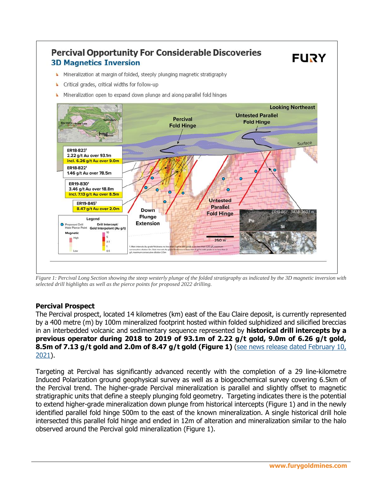

*Figure 1: Percival Long Section showing the steep westerly plunge of the folded stratigraphy as indicated by the 3D magnetic inversion with selected drill highlights as well as the pierce points for proposed 2022 drilling.*

# **Percival Prospect**

The Percival prospect, located 14 kilometres (km) east of the Eau Claire deposit, is currently represented by a 400 metre (m) by 100m mineralized footprint hosted within folded sulphidized and silicified breccias in an interbedded volcanic and sedimentary sequence represented by **historical drill intercepts by a previous operator during 2018 to 2019 of 93.1m of 2.22 g/t gold, 9.0m of 6.26 g/t gold, 8.5m of 7.13 g/t gold and 2.0m of 8.47 g/t gold (Figure 1)** [\(see news release dated February 10,](https://furygoldmines.com/news-and-media/news/fury-outlines-first-regional-exploration-target-at-4620395/)  [2021\)](https://furygoldmines.com/news-and-media/news/fury-outlines-first-regional-exploration-target-at-4620395/).

Targeting at Percival has significantly advanced recently with the completion of a 29 line-kilometre Induced Polarization ground geophysical survey as well as a biogeochemical survey covering 6.5km of the Percival trend. The higher-grade Percival mineralization is parallel and slightly offset to magnetic stratigraphic units that define a steeply plunging fold geometry. Targeting indicates there is the potential to extend higher-grade mineralization down plunge from historical intercepts (Figure 1) and in the newly identified parallel fold hinge 500m to the east of the known mineralization. A single historical drill hole intersected this parallel fold hinge and ended in 12m of alteration and mineralization similar to the halo observed around the Percival gold mineralization (Figure 1).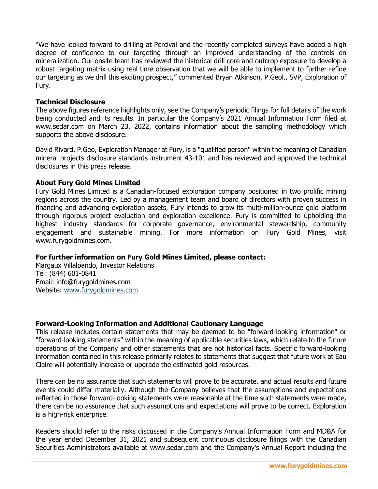"We have looked forward to drilling at Percival and the recently completed surveys have added a high degree of confidence to our targeting through an improved understanding of the controls on mineralization. Our onsite team has reviewed the historical drill core and outcrop exposure to develop a robust targeting matrix using real time observation that we will be able to implement to further refine our targeting as we drill this exciting prospect," commented Bryan Atkinson, P.Geol., SVP, Exploration of Fury.

# **Technical Disclosure**

The above figures reference highlights only, see the Company's periodic filings for full details of the work being conducted and its results. In particular the Company's 2021 Annual Information Form filed at www.sedar.com on March 23, 2022, contains information about the sampling methodology which supports the above disclosure.

David Rivard, P.Geo, Exploration Manager at Fury, is a "qualified person" within the meaning of Canadian mineral projects disclosure standards instrument 43-101 and has reviewed and approved the technical disclosures in this press release.

#### **About Fury Gold Mines Limited**

Fury Gold Mines Limited is a Canadian-focused exploration company positioned in two prolific mining regions across the country. Led by a management team and board of directors with proven success in financing and advancing exploration assets, Fury intends to grow its multi-million-ounce gold platform through rigorous project evaluation and exploration excellence. Fury is committed to upholding the highest industry standards for corporate governance, environmental stewardship, community engagement and sustainable mining. For more information on Fury Gold Mines, visit www.furygoldmines.com.

# **For further information on Fury Gold Mines Limited, please contact:**

Margaux Villalpando, Investor Relations Tel: (844) 601-0841 Email: info@furygoldmines.com Website: [www.furygoldmines.com](http://www.furygoldmines.com/)

# **Forward-Looking Information and Additional Cautionary Language**

This release includes certain statements that may be deemed to be "forward-looking information" or "forward-looking statements" within the meaning of applicable securities laws, which relate to the future operations of the Company and other statements that are not historical facts. Specific forward-looking information contained in this release primarily relates to statements that suggest that future work at Eau Claire will potentially increase or upgrade the estimated gold resources.

There can be no assurance that such statements will prove to be accurate, and actual results and future events could differ materially. Although the Company believes that the assumptions and expectations reflected in those forward-looking statements were reasonable at the time such statements were made, there can be no assurance that such assumptions and expectations will prove to be correct. Exploration is a high-risk enterprise.

Readers should refer to the risks discussed in the Company's Annual Information Form and MD&A for the year ended December 31, 2021 and subsequent continuous disclosure filings with the Canadian Securities Administrators available at www.sedar.com and the Company's Annual Report including the